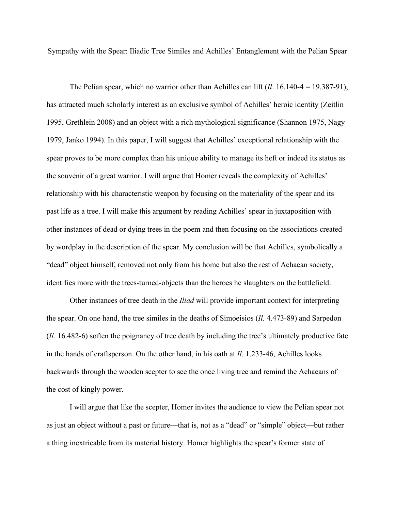Sympathy with the Spear: Iliadic Tree Similes and Achilles' Entanglement with the Pelian Spear

The Pelian spear, which no warrior other than Achilles can lift (*Il*. 16.140-4 = 19.387-91), has attracted much scholarly interest as an exclusive symbol of Achilles' heroic identity (Zeitlin 1995, Grethlein 2008) and an object with a rich mythological significance (Shannon 1975, Nagy 1979, Janko 1994). In this paper, I will suggest that Achilles' exceptional relationship with the spear proves to be more complex than his unique ability to manage its heft or indeed its status as the souvenir of a great warrior. I will argue that Homer reveals the complexity of Achilles' relationship with his characteristic weapon by focusing on the materiality of the spear and its past life as a tree. I will make this argument by reading Achilles' spear in juxtaposition with other instances of dead or dying trees in the poem and then focusing on the associations created by wordplay in the description of the spear. My conclusion will be that Achilles, symbolically a "dead" object himself, removed not only from his home but also the rest of Achaean society, identifies more with the trees-turned-objects than the heroes he slaughters on the battlefield.

Other instances of tree death in the *Iliad* will provide important context for interpreting the spear. On one hand, the tree similes in the deaths of Simoeisios (*Il.* 4.473-89) and Sarpedon (*Il.* 16.482-6) soften the poignancy of tree death by including the tree's ultimately productive fate in the hands of craftsperson. On the other hand, in his oath at *Il*. 1.233-46, Achilles looks backwards through the wooden scepter to see the once living tree and remind the Achaeans of the cost of kingly power.

I will argue that like the scepter, Homer invites the audience to view the Pelian spear not as just an object without a past or future—that is, not as a "dead" or "simple" object—but rather a thing inextricable from its material history. Homer highlights the spear's former state of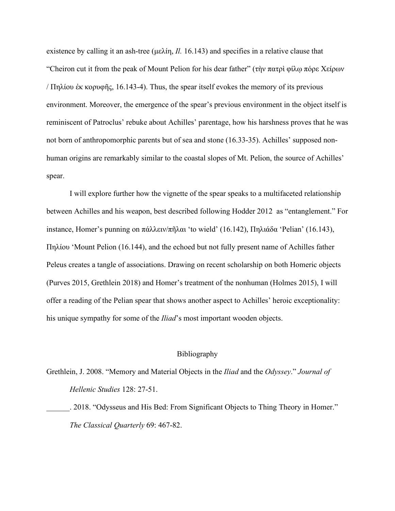existence by calling it an ash-tree (μελίη, *Il.* 16.143) and specifies in a relative clause that "Cheiron cut it from the peak of Mount Pelion for his dear father" (τὴν πατρὶ φίλῳ πόρε Χείρων / Πηλίου ἐκ κορυφῆς, 16.143-4). Thus, the spear itself evokes the memory of its previous environment. Moreover, the emergence of the spear's previous environment in the object itself is reminiscent of Patroclus' rebuke about Achilles' parentage, how his harshness proves that he was not born of anthropomorphic parents but of sea and stone (16.33-35). Achilles' supposed nonhuman origins are remarkably similar to the coastal slopes of Mt. Pelion, the source of Achilles' spear.

I will explore further how the vignette of the spear speaks to a multifaceted relationship between Achilles and his weapon, best described following Hodder 2012 as "entanglement." For instance, Homer's punning on πάλλειν/πῆλαι 'to wield' (16.142), Πηλιάδα 'Pelian' (16.143), Πηλίου 'Mount Pelion (16.144), and the echoed but not fully present name of Achilles father Peleus creates a tangle of associations. Drawing on recent scholarship on both Homeric objects (Purves 2015, Grethlein 2018) and Homer's treatment of the nonhuman (Holmes 2015), I will offer a reading of the Pelian spear that shows another aspect to Achilles' heroic exceptionality: his unique sympathy for some of the *Iliad*'s most important wooden objects.

## Bibliography

Grethlein, J. 2008. "Memory and Material Objects in the *Iliad* and the *Odyssey*." *Journal of Hellenic Studies* 128: 27-51.

\_\_\_\_\_\_. 2018. "Odysseus and His Bed: From Significant Objects to Thing Theory in Homer." *The Classical Quarterly* 69: 467-82.